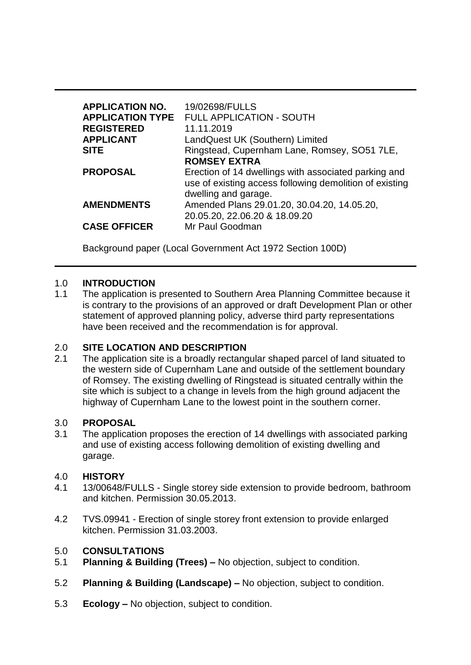| <b>APPLICATION NO.</b><br><b>REGISTERED</b><br><b>APPLICANT</b><br><b>SITE</b> | 19/02698/FULLS<br><b>APPLICATION TYPE FULL APPLICATION - SOUTH</b><br>11.11.2019<br>LandQuest UK (Southern) Limited<br>Ringstead, Cupernham Lane, Romsey, SO51 7LE,<br><b>ROMSEY EXTRA</b> |
|--------------------------------------------------------------------------------|--------------------------------------------------------------------------------------------------------------------------------------------------------------------------------------------|
| <b>PROPOSAL</b>                                                                | Erection of 14 dwellings with associated parking and<br>use of existing access following demolition of existing<br>dwelling and garage.                                                    |
| <b>AMENDMENTS</b>                                                              | Amended Plans 29.01.20, 30.04.20, 14.05.20,<br>20.05.20, 22.06.20 & 18.09.20                                                                                                               |
| <b>CASE OFFICER</b>                                                            | Mr Paul Goodman                                                                                                                                                                            |

Background paper (Local Government Act 1972 Section 100D)

### 1.0 **INTRODUCTION**

1.1 The application is presented to Southern Area Planning Committee because it is contrary to the provisions of an approved or draft Development Plan or other statement of approved planning policy, adverse third party representations have been received and the recommendation is for approval.

### 2.0 **SITE LOCATION AND DESCRIPTION**

2.1 The application site is a broadly rectangular shaped parcel of land situated to the western side of Cupernham Lane and outside of the settlement boundary of Romsey. The existing dwelling of Ringstead is situated centrally within the site which is subject to a change in levels from the high ground adjacent the highway of Cupernham Lane to the lowest point in the southern corner.

### 3.0 **PROPOSAL**

3.1 The application proposes the erection of 14 dwellings with associated parking and use of existing access following demolition of existing dwelling and garage.

### 4.0 **HISTORY**

- 4.1 13/00648/FULLS Single storey side extension to provide bedroom, bathroom and kitchen. Permission 30.05.2013.
- 4.2 TVS.09941 Erection of single storey front extension to provide enlarged kitchen. Permission 31.03.2003.

## 5.0 **CONSULTATIONS**

- 5.1 **Planning & Building (Trees) –** No objection, subject to condition.
- 5.2 **Planning & Building (Landscape) –** No objection, subject to condition.
- 5.3 **Ecology –** No objection, subject to condition.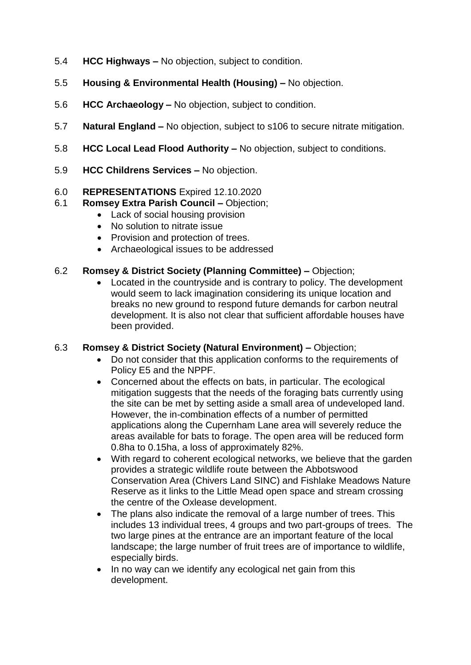- 5.4 **HCC Highways –** No objection, subject to condition.
- 5.5 **Housing & Environmental Health (Housing) –** No objection.
- 5.6 **HCC Archaeology –** No objection, subject to condition.
- 5.7 **Natural England –** No objection, subject to s106 to secure nitrate mitigation.
- 5.8 **HCC Local Lead Flood Authority –** No objection, subject to conditions.
- 5.9 **HCC Childrens Services –** No objection.

## 6.0 **REPRESENTATIONS** Expired 12.10.2020

- 6.1 **Romsey Extra Parish Council –** Objection;
	- Lack of social housing provision
	- No solution to nitrate issue
	- Provision and protection of trees.
	- Archaeological issues to be addressed

## 6.2 **Romsey & District Society (Planning Committee) –** Objection;

 Located in the countryside and is contrary to policy. The development would seem to lack imagination considering its unique location and breaks no new ground to respond future demands for carbon neutral development. It is also not clear that sufficient affordable houses have been provided.

### 6.3 **Romsey & District Society (Natural Environment) –** Objection;

- Do not consider that this application conforms to the requirements of Policy E5 and the NPPF.
- Concerned about the effects on bats, in particular. The ecological mitigation suggests that the needs of the foraging bats currently using the site can be met by setting aside a small area of undeveloped land. However, the in-combination effects of a number of permitted applications along the Cupernham Lane area will severely reduce the areas available for bats to forage. The open area will be reduced form 0.8ha to 0.15ha, a loss of approximately 82%.
- With regard to coherent ecological networks, we believe that the garden provides a strategic wildlife route between the Abbotswood Conservation Area (Chivers Land SINC) and Fishlake Meadows Nature Reserve as it links to the Little Mead open space and stream crossing the centre of the Oxlease development.
- The plans also indicate the removal of a large number of trees. This includes 13 individual trees, 4 groups and two part-groups of trees. The two large pines at the entrance are an important feature of the local landscape; the large number of fruit trees are of importance to wildlife, especially birds.
- In no way can we identify any ecological net gain from this development.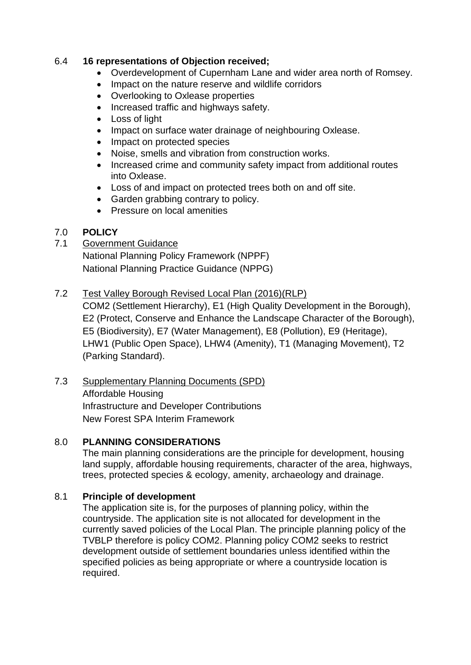## 6.4 **16 representations of Objection received;**

- Overdevelopment of Cupernham Lane and wider area north of Romsey.
- Impact on the nature reserve and wildlife corridors
- Overlooking to Oxlease properties
- Increased traffic and highways safety.
- Loss of light
- Impact on surface water drainage of neighbouring Oxlease.
- Impact on protected species
- Noise, smells and vibration from construction works.
- Increased crime and community safety impact from additional routes into Oxlease.
- Loss of and impact on protected trees both on and off site.
- Garden grabbing contrary to policy.
- Pressure on local amenities

## 7.0 **POLICY**

# 7.1 Government Guidance

National Planning Policy Framework (NPPF) National Planning Practice Guidance (NPPG)

## 7.2 Test Valley Borough Revised Local Plan (2016)(RLP)

COM2 (Settlement Hierarchy), E1 (High Quality Development in the Borough), E2 (Protect, Conserve and Enhance the Landscape Character of the Borough), E5 (Biodiversity), E7 (Water Management), E8 (Pollution), E9 (Heritage), LHW1 (Public Open Space), LHW4 (Amenity), T1 (Managing Movement), T2 (Parking Standard).

## 7.3 Supplementary Planning Documents (SPD) Affordable Housing Infrastructure and Developer Contributions New Forest SPA Interim Framework

## 8.0 **PLANNING CONSIDERATIONS**

The main planning considerations are the principle for development, housing land supply, affordable housing requirements, character of the area, highways, trees, protected species & ecology, amenity, archaeology and drainage.

## 8.1 **Principle of development**

The application site is, for the purposes of planning policy, within the countryside. The application site is not allocated for development in the currently saved policies of the Local Plan. The principle planning policy of the TVBLP therefore is policy COM2. Planning policy COM2 seeks to restrict development outside of settlement boundaries unless identified within the specified policies as being appropriate or where a countryside location is required.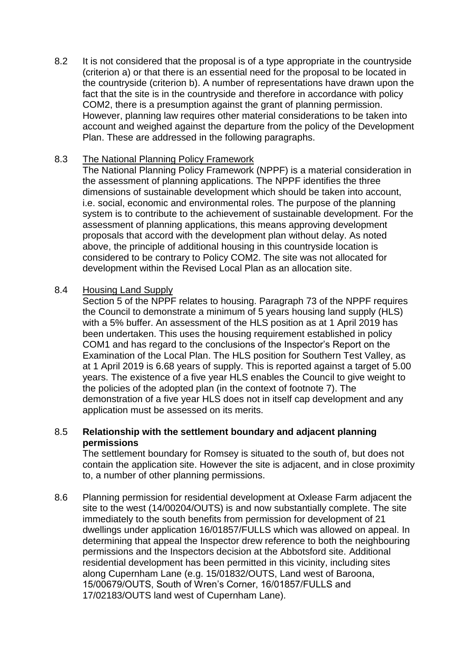8.2 It is not considered that the proposal is of a type appropriate in the countryside (criterion a) or that there is an essential need for the proposal to be located in the countryside (criterion b). A number of representations have drawn upon the fact that the site is in the countryside and therefore in accordance with policy COM2, there is a presumption against the grant of planning permission. However, planning law requires other material considerations to be taken into account and weighed against the departure from the policy of the Development Plan. These are addressed in the following paragraphs.

### 8.3 The National Planning Policy Framework

The National Planning Policy Framework (NPPF) is a material consideration in the assessment of planning applications. The NPPF identifies the three dimensions of sustainable development which should be taken into account, i.e. social, economic and environmental roles. The purpose of the planning system is to contribute to the achievement of sustainable development. For the assessment of planning applications, this means approving development proposals that accord with the development plan without delay. As noted above, the principle of additional housing in this countryside location is considered to be contrary to Policy COM2. The site was not allocated for development within the Revised Local Plan as an allocation site.

## 8.4 Housing Land Supply

Section 5 of the NPPF relates to housing. Paragraph 73 of the NPPF requires the Council to demonstrate a minimum of 5 years housing land supply (HLS) with a 5% buffer. An assessment of the HLS position as at 1 April 2019 has been undertaken. This uses the housing requirement established in policy COM1 and has regard to the conclusions of the Inspector's Report on the Examination of the Local Plan. The HLS position for Southern Test Valley, as at 1 April 2019 is 6.68 years of supply. This is reported against a target of 5.00 years. The existence of a five year HLS enables the Council to give weight to the policies of the adopted plan (in the context of footnote 7). The demonstration of a five year HLS does not in itself cap development and any application must be assessed on its merits.

## 8.5 **Relationship with the settlement boundary and adjacent planning permissions**

The settlement boundary for Romsey is situated to the south of, but does not contain the application site. However the site is adjacent, and in close proximity to, a number of other planning permissions.

8.6 Planning permission for residential development at Oxlease Farm adjacent the site to the west (14/00204/OUTS) is and now substantially complete. The site immediately to the south benefits from permission for development of 21 dwellings under application 16/01857/FULLS which was allowed on appeal. In determining that appeal the Inspector drew reference to both the neighbouring permissions and the Inspectors decision at the Abbotsford site. Additional residential development has been permitted in this vicinity, including sites along Cupernham Lane (e.g. 15/01832/OUTS, Land west of Baroona, 15/00679/OUTS, South of Wren's Corner, 16/01857/FULLS and 17/02183/OUTS land west of Cupernham Lane).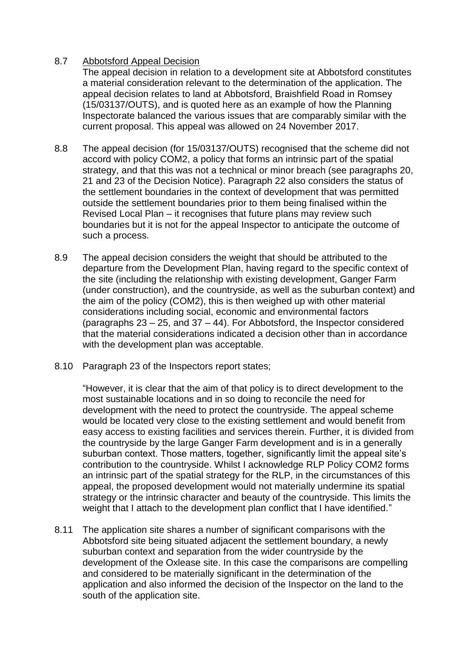## 8.7 Abbotsford Appeal Decision

The appeal decision in relation to a development site at Abbotsford constitutes a material consideration relevant to the determination of the application. The appeal decision relates to land at Abbotsford, Braishfield Road in Romsey (15/03137/OUTS), and is quoted here as an example of how the Planning Inspectorate balanced the various issues that are comparably similar with the current proposal. This appeal was allowed on 24 November 2017.

- 8.8 The appeal decision (for 15/03137/OUTS) recognised that the scheme did not accord with policy COM2, a policy that forms an intrinsic part of the spatial strategy, and that this was not a technical or minor breach (see paragraphs 20, 21 and 23 of the Decision Notice). Paragraph 22 also considers the status of the settlement boundaries in the context of development that was permitted outside the settlement boundaries prior to them being finalised within the Revised Local Plan – it recognises that future plans may review such boundaries but it is not for the appeal Inspector to anticipate the outcome of such a process.
- 8.9 The appeal decision considers the weight that should be attributed to the departure from the Development Plan, having regard to the specific context of the site (including the relationship with existing development, Ganger Farm (under construction), and the countryside, as well as the suburban context) and the aim of the policy (COM2), this is then weighed up with other material considerations including social, economic and environmental factors (paragraphs  $23 - 25$ , and  $37 - 44$ ). For Abbotsford, the Inspector considered that the material considerations indicated a decision other than in accordance with the development plan was acceptable.
- 8.10 Paragraph 23 of the Inspectors report states;

"However, it is clear that the aim of that policy is to direct development to the most sustainable locations and in so doing to reconcile the need for development with the need to protect the countryside. The appeal scheme would be located very close to the existing settlement and would benefit from easy access to existing facilities and services therein. Further, it is divided from the countryside by the large Ganger Farm development and is in a generally suburban context. Those matters, together, significantly limit the appeal site's contribution to the countryside. Whilst I acknowledge RLP Policy COM2 forms an intrinsic part of the spatial strategy for the RLP, in the circumstances of this appeal, the proposed development would not materially undermine its spatial strategy or the intrinsic character and beauty of the countryside. This limits the weight that I attach to the development plan conflict that I have identified."

8.11 The application site shares a number of significant comparisons with the Abbotsford site being situated adjacent the settlement boundary, a newly suburban context and separation from the wider countryside by the development of the Oxlease site. In this case the comparisons are compelling and considered to be materially significant in the determination of the application and also informed the decision of the Inspector on the land to the south of the application site.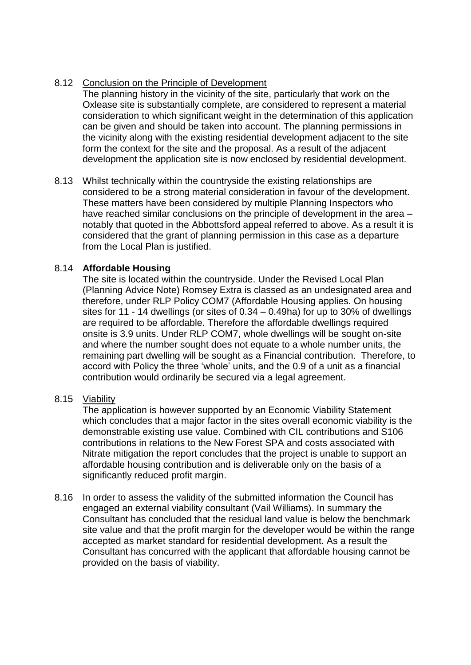# 8.12 Conclusion on the Principle of Development

The planning history in the vicinity of the site, particularly that work on the Oxlease site is substantially complete, are considered to represent a material consideration to which significant weight in the determination of this application can be given and should be taken into account. The planning permissions in the vicinity along with the existing residential development adjacent to the site form the context for the site and the proposal. As a result of the adjacent development the application site is now enclosed by residential development.

8.13 Whilst technically within the countryside the existing relationships are considered to be a strong material consideration in favour of the development. These matters have been considered by multiple Planning Inspectors who have reached similar conclusions on the principle of development in the area – notably that quoted in the Abbottsford appeal referred to above. As a result it is considered that the grant of planning permission in this case as a departure from the Local Plan is justified.

## 8.14 **Affordable Housing**

The site is located within the countryside. Under the Revised Local Plan (Planning Advice Note) Romsey Extra is classed as an undesignated area and therefore, under RLP Policy COM7 (Affordable Housing applies. On housing sites for 11 - 14 dwellings (or sites of 0.34 – 0.49ha) for up to 30% of dwellings are required to be affordable. Therefore the affordable dwellings required onsite is 3.9 units. Under RLP COM7, whole dwellings will be sought on-site and where the number sought does not equate to a whole number units, the remaining part dwelling will be sought as a Financial contribution. Therefore, to accord with Policy the three 'whole' units, and the 0.9 of a unit as a financial contribution would ordinarily be secured via a legal agreement.

## 8.15 Viability

The application is however supported by an Economic Viability Statement which concludes that a major factor in the sites overall economic viability is the demonstrable existing use value. Combined with CIL contributions and S106 contributions in relations to the New Forest SPA and costs associated with Nitrate mitigation the report concludes that the project is unable to support an affordable housing contribution and is deliverable only on the basis of a significantly reduced profit margin.

8.16 In order to assess the validity of the submitted information the Council has engaged an external viability consultant (Vail Williams). In summary the Consultant has concluded that the residual land value is below the benchmark site value and that the profit margin for the developer would be within the range accepted as market standard for residential development. As a result the Consultant has concurred with the applicant that affordable housing cannot be provided on the basis of viability.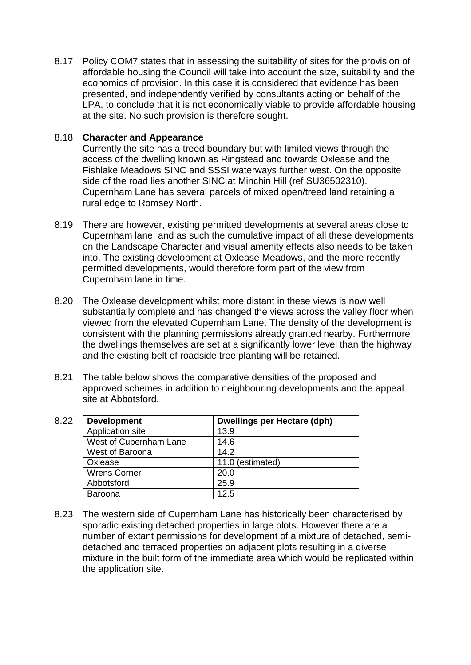8.17 Policy COM7 states that in assessing the suitability of sites for the provision of affordable housing the Council will take into account the size, suitability and the economics of provision. In this case it is considered that evidence has been presented, and independently verified by consultants acting on behalf of the LPA, to conclude that it is not economically viable to provide affordable housing at the site. No such provision is therefore sought.

### 8.18 **Character and Appearance**

Currently the site has a treed boundary but with limited views through the access of the dwelling known as Ringstead and towards Oxlease and the Fishlake Meadows SINC and SSSI waterways further west. On the opposite side of the road lies another SINC at Minchin Hill (ref SU36502310). Cupernham Lane has several parcels of mixed open/treed land retaining a rural edge to Romsey North.

- 8.19 There are however, existing permitted developments at several areas close to Cupernham lane, and as such the cumulative impact of all these developments on the Landscape Character and visual amenity effects also needs to be taken into. The existing development at Oxlease Meadows, and the more recently permitted developments, would therefore form part of the view from Cupernham lane in time.
- 8.20 The Oxlease development whilst more distant in these views is now well substantially complete and has changed the views across the valley floor when viewed from the elevated Cupernham Lane. The density of the development is consistent with the planning permissions already granted nearby. Furthermore the dwellings themselves are set at a significantly lower level than the highway and the existing belt of roadside tree planting will be retained.
- 8.21 The table below shows the comparative densities of the proposed and approved schemes in addition to neighbouring developments and the appeal site at Abbotsford.

| 8.22 | <b>Development</b>     | Dwellings per Hectare (dph) |
|------|------------------------|-----------------------------|
|      | Application site       | 13.9                        |
|      | West of Cupernham Lane | 14.6                        |
|      | West of Baroona        | 14.2                        |
|      | Oxlease                | 11.0 (estimated)            |
|      | <b>Wrens Corner</b>    | 20.0                        |
|      | Abbotsford             | 25.9                        |
|      | Baroona                | 12.5                        |

8.23 The western side of Cupernham Lane has historically been characterised by sporadic existing detached properties in large plots. However there are a number of extant permissions for development of a mixture of detached, semidetached and terraced properties on adjacent plots resulting in a diverse mixture in the built form of the immediate area which would be replicated within the application site.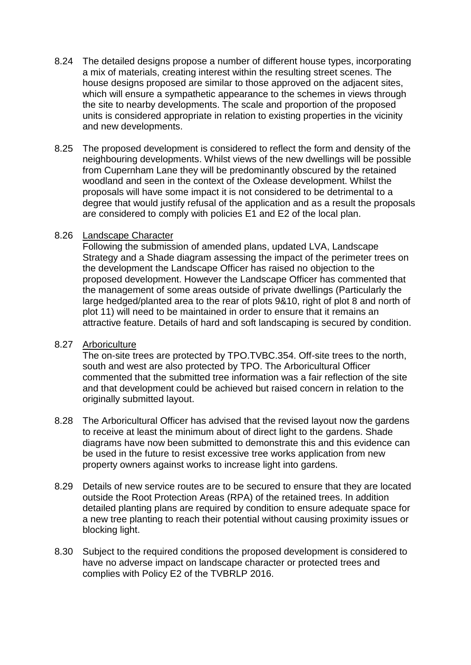- 8.24 The detailed designs propose a number of different house types, incorporating a mix of materials, creating interest within the resulting street scenes. The house designs proposed are similar to those approved on the adjacent sites, which will ensure a sympathetic appearance to the schemes in views through the site to nearby developments. The scale and proportion of the proposed units is considered appropriate in relation to existing properties in the vicinity and new developments.
- 8.25 The proposed development is considered to reflect the form and density of the neighbouring developments. Whilst views of the new dwellings will be possible from Cupernham Lane they will be predominantly obscured by the retained woodland and seen in the context of the Oxlease development. Whilst the proposals will have some impact it is not considered to be detrimental to a degree that would justify refusal of the application and as a result the proposals are considered to comply with policies E1 and E2 of the local plan.

## 8.26 Landscape Character

Following the submission of amended plans, updated LVA, Landscape Strategy and a Shade diagram assessing the impact of the perimeter trees on the development the Landscape Officer has raised no objection to the proposed development. However the Landscape Officer has commented that the management of some areas outside of private dwellings (Particularly the large hedged/planted area to the rear of plots 9&10, right of plot 8 and north of plot 11) will need to be maintained in order to ensure that it remains an attractive feature. Details of hard and soft landscaping is secured by condition.

### 8.27 Arboriculture

The on-site trees are protected by TPO.TVBC.354. Off-site trees to the north, south and west are also protected by TPO. The Arboricultural Officer commented that the submitted tree information was a fair reflection of the site and that development could be achieved but raised concern in relation to the originally submitted layout.

- 8.28 The Arboricultural Officer has advised that the revised layout now the gardens to receive at least the minimum about of direct light to the gardens. Shade diagrams have now been submitted to demonstrate this and this evidence can be used in the future to resist excessive tree works application from new property owners against works to increase light into gardens.
- 8.29 Details of new service routes are to be secured to ensure that they are located outside the Root Protection Areas (RPA) of the retained trees. In addition detailed planting plans are required by condition to ensure adequate space for a new tree planting to reach their potential without causing proximity issues or blocking light.
- 8.30 Subject to the required conditions the proposed development is considered to have no adverse impact on landscape character or protected trees and complies with Policy E2 of the TVBRLP 2016.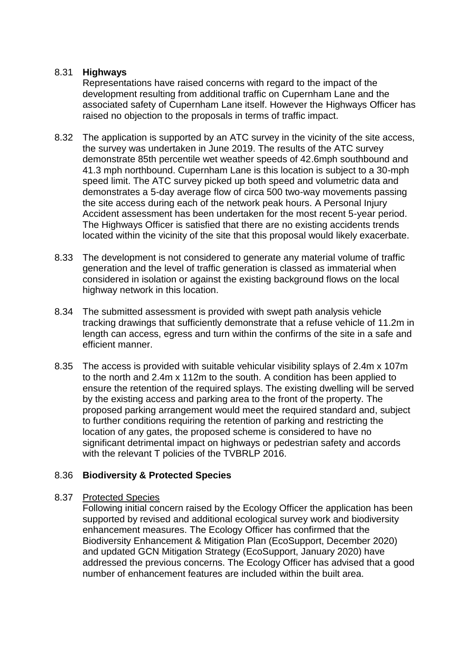## 8.31 **Highways**

Representations have raised concerns with regard to the impact of the development resulting from additional traffic on Cupernham Lane and the associated safety of Cupernham Lane itself. However the Highways Officer has raised no objection to the proposals in terms of traffic impact.

- 8.32 The application is supported by an ATC survey in the vicinity of the site access, the survey was undertaken in June 2019. The results of the ATC survey demonstrate 85th percentile wet weather speeds of 42.6mph southbound and 41.3 mph northbound. Cupernham Lane is this location is subject to a 30-mph speed limit. The ATC survey picked up both speed and volumetric data and demonstrates a 5-day average flow of circa 500 two-way movements passing the site access during each of the network peak hours. A Personal Injury Accident assessment has been undertaken for the most recent 5-year period. The Highways Officer is satisfied that there are no existing accidents trends located within the vicinity of the site that this proposal would likely exacerbate.
- 8.33 The development is not considered to generate any material volume of traffic generation and the level of traffic generation is classed as immaterial when considered in isolation or against the existing background flows on the local highway network in this location.
- 8.34 The submitted assessment is provided with swept path analysis vehicle tracking drawings that sufficiently demonstrate that a refuse vehicle of 11.2m in length can access, egress and turn within the confirms of the site in a safe and efficient manner.
- 8.35 The access is provided with suitable vehicular visibility splays of 2.4m x 107m to the north and 2.4m x 112m to the south. A condition has been applied to ensure the retention of the required splays. The existing dwelling will be served by the existing access and parking area to the front of the property. The proposed parking arrangement would meet the required standard and, subject to further conditions requiring the retention of parking and restricting the location of any gates, the proposed scheme is considered to have no significant detrimental impact on highways or pedestrian safety and accords with the relevant T policies of the TVBRLP 2016.

## 8.36 **Biodiversity & Protected Species**

### 8.37 Protected Species

Following initial concern raised by the Ecology Officer the application has been supported by revised and additional ecological survey work and biodiversity enhancement measures. The Ecology Officer has confirmed that the Biodiversity Enhancement & Mitigation Plan (EcoSupport, December 2020) and updated GCN Mitigation Strategy (EcoSupport, January 2020) have addressed the previous concerns. The Ecology Officer has advised that a good number of enhancement features are included within the built area.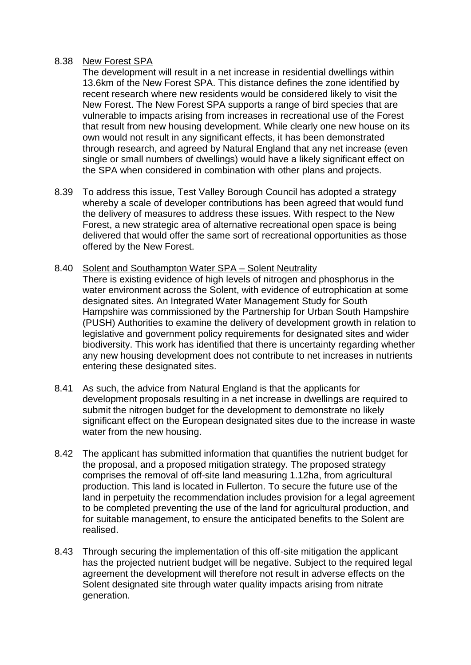#### 8.38 New Forest SPA

The development will result in a net increase in residential dwellings within 13.6km of the New Forest SPA. This distance defines the zone identified by recent research where new residents would be considered likely to visit the New Forest. The New Forest SPA supports a range of bird species that are vulnerable to impacts arising from increases in recreational use of the Forest that result from new housing development. While clearly one new house on its own would not result in any significant effects, it has been demonstrated through research, and agreed by Natural England that any net increase (even single or small numbers of dwellings) would have a likely significant effect on the SPA when considered in combination with other plans and projects.

- 8.39 To address this issue, Test Valley Borough Council has adopted a strategy whereby a scale of developer contributions has been agreed that would fund the delivery of measures to address these issues. With respect to the New Forest, a new strategic area of alternative recreational open space is being delivered that would offer the same sort of recreational opportunities as those offered by the New Forest.
- 8.40 Solent and Southampton Water SPA Solent Neutrality There is existing evidence of high levels of nitrogen and phosphorus in the water environment across the Solent, with evidence of eutrophication at some designated sites. An Integrated Water Management Study for South Hampshire was commissioned by the Partnership for Urban South Hampshire (PUSH) Authorities to examine the delivery of development growth in relation to legislative and government policy requirements for designated sites and wider biodiversity. This work has identified that there is uncertainty regarding whether any new housing development does not contribute to net increases in nutrients entering these designated sites.
- 8.41 As such, the advice from Natural England is that the applicants for development proposals resulting in a net increase in dwellings are required to submit the nitrogen budget for the development to demonstrate no likely significant effect on the European designated sites due to the increase in waste water from the new housing.
- 8.42 The applicant has submitted information that quantifies the nutrient budget for the proposal, and a proposed mitigation strategy. The proposed strategy comprises the removal of off-site land measuring 1.12ha, from agricultural production. This land is located in Fullerton. To secure the future use of the land in perpetuity the recommendation includes provision for a legal agreement to be completed preventing the use of the land for agricultural production, and for suitable management, to ensure the anticipated benefits to the Solent are realised.
- 8.43 Through securing the implementation of this off-site mitigation the applicant has the projected nutrient budget will be negative. Subject to the required legal agreement the development will therefore not result in adverse effects on the Solent designated site through water quality impacts arising from nitrate generation.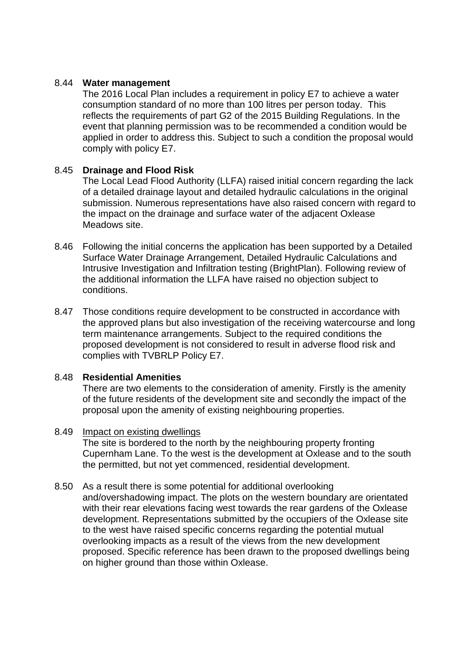## 8.44 **Water management**

The 2016 Local Plan includes a requirement in policy E7 to achieve a water consumption standard of no more than 100 litres per person today. This reflects the requirements of part G2 of the 2015 Building Regulations. In the event that planning permission was to be recommended a condition would be applied in order to address this. Subject to such a condition the proposal would comply with policy E7.

## 8.45 **Drainage and Flood Risk**

The Local Lead Flood Authority (LLFA) raised initial concern regarding the lack of a detailed drainage layout and detailed hydraulic calculations in the original submission. Numerous representations have also raised concern with regard to the impact on the drainage and surface water of the adjacent Oxlease Meadows site.

- 8.46 Following the initial concerns the application has been supported by a Detailed Surface Water Drainage Arrangement, Detailed Hydraulic Calculations and Intrusive Investigation and Infiltration testing (BrightPlan). Following review of the additional information the LLFA have raised no objection subject to conditions.
- 8.47 Those conditions require development to be constructed in accordance with the approved plans but also investigation of the receiving watercourse and long term maintenance arrangements. Subject to the required conditions the proposed development is not considered to result in adverse flood risk and complies with TVBRLP Policy E7.

### 8.48 **Residential Amenities**

There are two elements to the consideration of amenity. Firstly is the amenity of the future residents of the development site and secondly the impact of the proposal upon the amenity of existing neighbouring properties.

### 8.49 Impact on existing dwellings

The site is bordered to the north by the neighbouring property fronting Cupernham Lane. To the west is the development at Oxlease and to the south the permitted, but not yet commenced, residential development.

### 8.50 As a result there is some potential for additional overlooking

and/overshadowing impact. The plots on the western boundary are orientated with their rear elevations facing west towards the rear gardens of the Oxlease development. Representations submitted by the occupiers of the Oxlease site to the west have raised specific concerns regarding the potential mutual overlooking impacts as a result of the views from the new development proposed. Specific reference has been drawn to the proposed dwellings being on higher ground than those within Oxlease.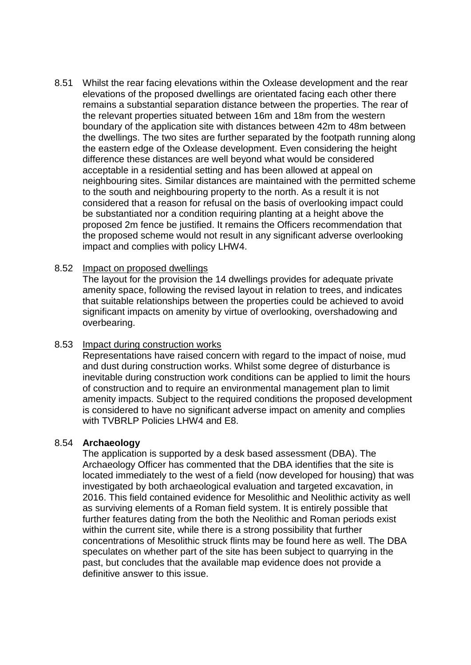8.51 Whilst the rear facing elevations within the Oxlease development and the rear elevations of the proposed dwellings are orientated facing each other there remains a substantial separation distance between the properties. The rear of the relevant properties situated between 16m and 18m from the western boundary of the application site with distances between 42m to 48m between the dwellings. The two sites are further separated by the footpath running along the eastern edge of the Oxlease development. Even considering the height difference these distances are well beyond what would be considered acceptable in a residential setting and has been allowed at appeal on neighbouring sites. Similar distances are maintained with the permitted scheme to the south and neighbouring property to the north. As a result it is not considered that a reason for refusal on the basis of overlooking impact could be substantiated nor a condition requiring planting at a height above the proposed 2m fence be justified. It remains the Officers recommendation that the proposed scheme would not result in any significant adverse overlooking impact and complies with policy LHW4.

### 8.52 Impact on proposed dwellings

The layout for the provision the 14 dwellings provides for adequate private amenity space, following the revised layout in relation to trees, and indicates that suitable relationships between the properties could be achieved to avoid significant impacts on amenity by virtue of overlooking, overshadowing and overbearing.

#### 8.53 Impact during construction works

Representations have raised concern with regard to the impact of noise, mud and dust during construction works. Whilst some degree of disturbance is inevitable during construction work conditions can be applied to limit the hours of construction and to require an environmental management plan to limit amenity impacts. Subject to the required conditions the proposed development is considered to have no significant adverse impact on amenity and complies with TVBRLP Policies LHW4 and F8

### 8.54 **Archaeology**

The application is supported by a desk based assessment (DBA). The Archaeology Officer has commented that the DBA identifies that the site is located immediately to the west of a field (now developed for housing) that was investigated by both archaeological evaluation and targeted excavation, in 2016. This field contained evidence for Mesolithic and Neolithic activity as well as surviving elements of a Roman field system. It is entirely possible that further features dating from the both the Neolithic and Roman periods exist within the current site, while there is a strong possibility that further concentrations of Mesolithic struck flints may be found here as well. The DBA speculates on whether part of the site has been subject to quarrying in the past, but concludes that the available map evidence does not provide a definitive answer to this issue.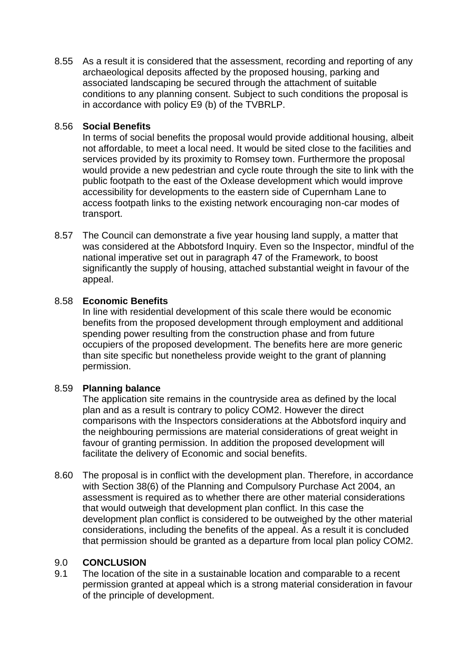8.55 As a result it is considered that the assessment, recording and reporting of any archaeological deposits affected by the proposed housing, parking and associated landscaping be secured through the attachment of suitable conditions to any planning consent. Subject to such conditions the proposal is in accordance with policy E9 (b) of the TVBRLP.

## 8.56 **Social Benefits**

In terms of social benefits the proposal would provide additional housing, albeit not affordable, to meet a local need. It would be sited close to the facilities and services provided by its proximity to Romsey town. Furthermore the proposal would provide a new pedestrian and cycle route through the site to link with the public footpath to the east of the Oxlease development which would improve accessibility for developments to the eastern side of Cupernham Lane to access footpath links to the existing network encouraging non-car modes of transport.

8.57 The Council can demonstrate a five year housing land supply, a matter that was considered at the Abbotsford Inquiry. Even so the Inspector, mindful of the national imperative set out in paragraph 47 of the Framework, to boost significantly the supply of housing, attached substantial weight in favour of the appeal.

## 8.58 **Economic Benefits**

In line with residential development of this scale there would be economic benefits from the proposed development through employment and additional spending power resulting from the construction phase and from future occupiers of the proposed development. The benefits here are more generic than site specific but nonetheless provide weight to the grant of planning permission.

## 8.59 **Planning balance**

The application site remains in the countryside area as defined by the local plan and as a result is contrary to policy COM2. However the direct comparisons with the Inspectors considerations at the Abbotsford inquiry and the neighbouring permissions are material considerations of great weight in favour of granting permission. In addition the proposed development will facilitate the delivery of Economic and social benefits.

8.60 The proposal is in conflict with the development plan. Therefore, in accordance with Section 38(6) of the Planning and Compulsory Purchase Act 2004, an assessment is required as to whether there are other material considerations that would outweigh that development plan conflict. In this case the development plan conflict is considered to be outweighed by the other material considerations, including the benefits of the appeal. As a result it is concluded that permission should be granted as a departure from local plan policy COM2.

### 9.0 **CONCLUSION**

9.1 The location of the site in a sustainable location and comparable to a recent permission granted at appeal which is a strong material consideration in favour of the principle of development.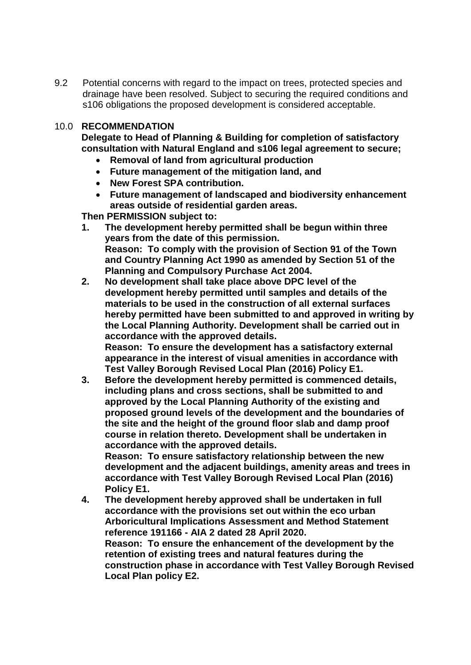9.2 Potential concerns with regard to the impact on trees, protected species and drainage have been resolved. Subject to securing the required conditions and s106 obligations the proposed development is considered acceptable.

## 10.0 **RECOMMENDATION**

**Delegate to Head of Planning & Building for completion of satisfactory consultation with Natural England and s106 legal agreement to secure;**

- **Removal of land from agricultural production**
- **Future management of the mitigation land, and**
- **New Forest SPA contribution.**
- **Future management of landscaped and biodiversity enhancement areas outside of residential garden areas.**

**Then PERMISSION subject to:**

- **1. The development hereby permitted shall be begun within three years from the date of this permission. Reason: To comply with the provision of Section 91 of the Town and Country Planning Act 1990 as amended by Section 51 of the Planning and Compulsory Purchase Act 2004.**
- **2. No development shall take place above DPC level of the development hereby permitted until samples and details of the materials to be used in the construction of all external surfaces hereby permitted have been submitted to and approved in writing by the Local Planning Authority. Development shall be carried out in accordance with the approved details. Reason: To ensure the development has a satisfactory external appearance in the interest of visual amenities in accordance with Test Valley Borough Revised Local Plan (2016) Policy E1.**
- **3. Before the development hereby permitted is commenced details, including plans and cross sections, shall be submitted to and approved by the Local Planning Authority of the existing and proposed ground levels of the development and the boundaries of the site and the height of the ground floor slab and damp proof course in relation thereto. Development shall be undertaken in accordance with the approved details. Reason: To ensure satisfactory relationship between the new**

**development and the adjacent buildings, amenity areas and trees in accordance with Test Valley Borough Revised Local Plan (2016) Policy E1.**

**4. The development hereby approved shall be undertaken in full accordance with the provisions set out within the eco urban Arboricultural Implications Assessment and Method Statement reference 191166 - AIA 2 dated 28 April 2020. Reason: To ensure the enhancement of the development by the retention of existing trees and natural features during the construction phase in accordance with Test Valley Borough Revised Local Plan policy E2.**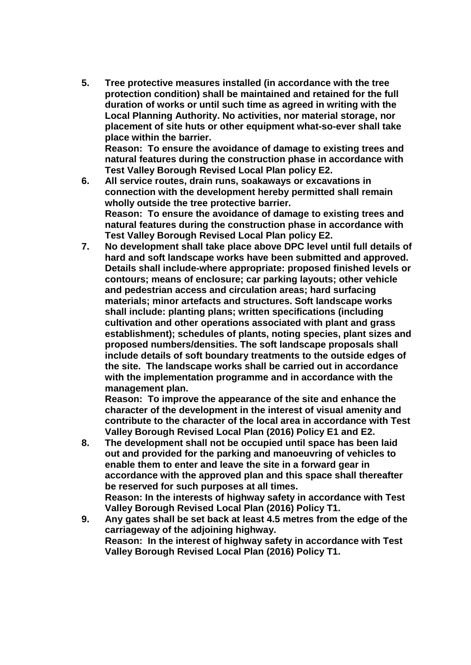**5. Tree protective measures installed (in accordance with the tree protection condition) shall be maintained and retained for the full duration of works or until such time as agreed in writing with the Local Planning Authority. No activities, nor material storage, nor placement of site huts or other equipment what-so-ever shall take place within the barrier.**

**Reason: To ensure the avoidance of damage to existing trees and natural features during the construction phase in accordance with Test Valley Borough Revised Local Plan policy E2.**

- **6. All service routes, drain runs, soakaways or excavations in connection with the development hereby permitted shall remain wholly outside the tree protective barrier. Reason: To ensure the avoidance of damage to existing trees and natural features during the construction phase in accordance with Test Valley Borough Revised Local Plan policy E2.**
- **7. No development shall take place above DPC level until full details of hard and soft landscape works have been submitted and approved. Details shall include-where appropriate: proposed finished levels or contours; means of enclosure; car parking layouts; other vehicle and pedestrian access and circulation areas; hard surfacing materials; minor artefacts and structures. Soft landscape works shall include: planting plans; written specifications (including cultivation and other operations associated with plant and grass establishment); schedules of plants, noting species, plant sizes and proposed numbers/densities. The soft landscape proposals shall include details of soft boundary treatments to the outside edges of the site. The landscape works shall be carried out in accordance with the implementation programme and in accordance with the management plan.**

**Reason: To improve the appearance of the site and enhance the character of the development in the interest of visual amenity and contribute to the character of the local area in accordance with Test Valley Borough Revised Local Plan (2016) Policy E1 and E2.** 

- **8. The development shall not be occupied until space has been laid out and provided for the parking and manoeuvring of vehicles to enable them to enter and leave the site in a forward gear in accordance with the approved plan and this space shall thereafter be reserved for such purposes at all times. Reason: In the interests of highway safety in accordance with Test Valley Borough Revised Local Plan (2016) Policy T1.**
- **9. Any gates shall be set back at least 4.5 metres from the edge of the carriageway of the adjoining highway. Reason: In the interest of highway safety in accordance with Test Valley Borough Revised Local Plan (2016) Policy T1.**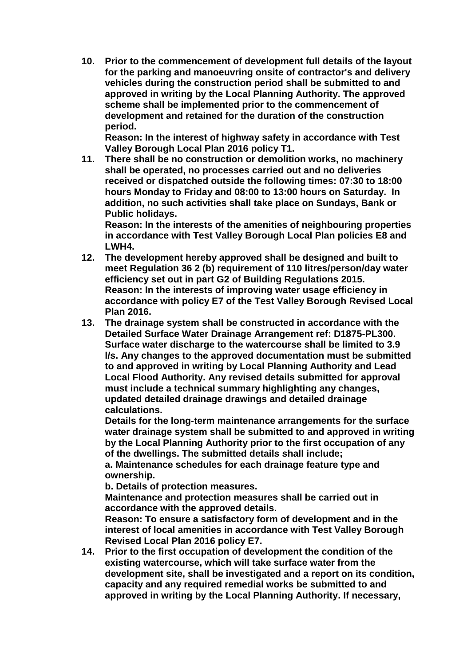**10. Prior to the commencement of development full details of the layout for the parking and manoeuvring onsite of contractor's and delivery vehicles during the construction period shall be submitted to and approved in writing by the Local Planning Authority. The approved scheme shall be implemented prior to the commencement of development and retained for the duration of the construction period.** 

**Reason: In the interest of highway safety in accordance with Test Valley Borough Local Plan 2016 policy T1.**

**11. There shall be no construction or demolition works, no machinery shall be operated, no processes carried out and no deliveries received or dispatched outside the following times: 07:30 to 18:00 hours Monday to Friday and 08:00 to 13:00 hours on Saturday. In addition, no such activities shall take place on Sundays, Bank or Public holidays.**

**Reason: In the interests of the amenities of neighbouring properties in accordance with Test Valley Borough Local Plan policies E8 and LWH4.**

- **12. The development hereby approved shall be designed and built to meet Regulation 36 2 (b) requirement of 110 litres/person/day water efficiency set out in part G2 of Building Regulations 2015. Reason: In the interests of improving water usage efficiency in accordance with policy E7 of the Test Valley Borough Revised Local Plan 2016.**
- **13. The drainage system shall be constructed in accordance with the Detailed Surface Water Drainage Arrangement ref: D1875-PL300. Surface water discharge to the watercourse shall be limited to 3.9 l/s. Any changes to the approved documentation must be submitted to and approved in writing by Local Planning Authority and Lead Local Flood Authority. Any revised details submitted for approval must include a technical summary highlighting any changes, updated detailed drainage drawings and detailed drainage calculations.**

**Details for the long-term maintenance arrangements for the surface water drainage system shall be submitted to and approved in writing by the Local Planning Authority prior to the first occupation of any of the dwellings. The submitted details shall include;**

**a. Maintenance schedules for each drainage feature type and ownership.**

**b. Details of protection measures.**

**Maintenance and protection measures shall be carried out in accordance with the approved details.** 

**Reason: To ensure a satisfactory form of development and in the interest of local amenities in accordance with Test Valley Borough Revised Local Plan 2016 policy E7.**

**14. Prior to the first occupation of development the condition of the existing watercourse, which will take surface water from the development site, shall be investigated and a report on its condition, capacity and any required remedial works be submitted to and approved in writing by the Local Planning Authority. If necessary,**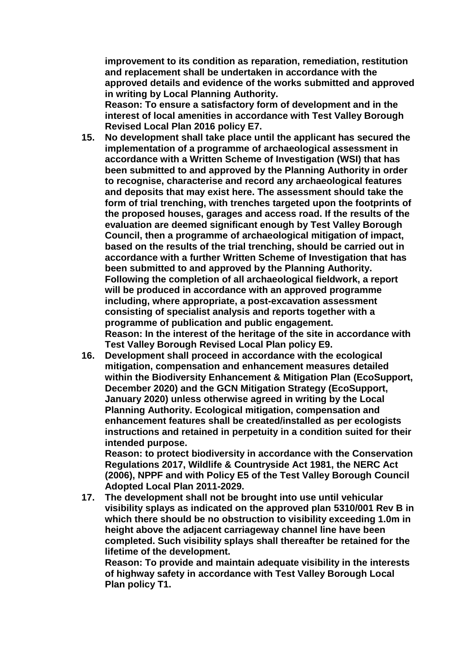**improvement to its condition as reparation, remediation, restitution and replacement shall be undertaken in accordance with the approved details and evidence of the works submitted and approved in writing by Local Planning Authority.**

**Reason: To ensure a satisfactory form of development and in the interest of local amenities in accordance with Test Valley Borough Revised Local Plan 2016 policy E7.**

- **15. No development shall take place until the applicant has secured the implementation of a programme of archaeological assessment in accordance with a Written Scheme of Investigation (WSI) that has been submitted to and approved by the Planning Authority in order to recognise, characterise and record any archaeological features and deposits that may exist here. The assessment should take the form of trial trenching, with trenches targeted upon the footprints of the proposed houses, garages and access road. If the results of the evaluation are deemed significant enough by Test Valley Borough Council, then a programme of archaeological mitigation of impact, based on the results of the trial trenching, should be carried out in accordance with a further Written Scheme of Investigation that has been submitted to and approved by the Planning Authority. Following the completion of all archaeological fieldwork, a report will be produced in accordance with an approved programme including, where appropriate, a post-excavation assessment consisting of specialist analysis and reports together with a programme of publication and public engagement. Reason: In the interest of the heritage of the site in accordance with Test Valley Borough Revised Local Plan policy E9.**
- **16. Development shall proceed in accordance with the ecological mitigation, compensation and enhancement measures detailed within the Biodiversity Enhancement & Mitigation Plan (EcoSupport, December 2020) and the GCN Mitigation Strategy (EcoSupport, January 2020) unless otherwise agreed in writing by the Local Planning Authority. Ecological mitigation, compensation and enhancement features shall be created/installed as per ecologists instructions and retained in perpetuity in a condition suited for their intended purpose.**

**Reason: to protect biodiversity in accordance with the Conservation Regulations 2017, Wildlife & Countryside Act 1981, the NERC Act (2006), NPPF and with Policy E5 of the Test Valley Borough Council Adopted Local Plan 2011-2029.**

**17. The development shall not be brought into use until vehicular visibility splays as indicated on the approved plan 5310/001 Rev B in which there should be no obstruction to visibility exceeding 1.0m in height above the adjacent carriageway channel line have been completed. Such visibility splays shall thereafter be retained for the lifetime of the development.**

**Reason: To provide and maintain adequate visibility in the interests of highway safety in accordance with Test Valley Borough Local Plan policy T1.**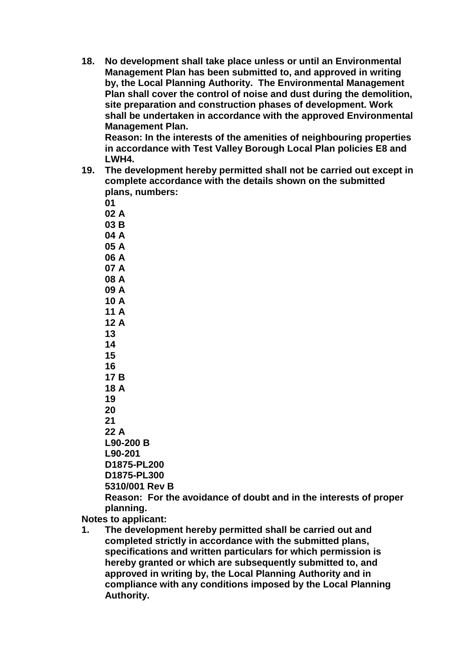**18. No development shall take place unless or until an Environmental Management Plan has been submitted to, and approved in writing by, the Local Planning Authority. The Environmental Management Plan shall cover the control of noise and dust during the demolition, site preparation and construction phases of development. Work shall be undertaken in accordance with the approved Environmental Management Plan.** 

**Reason: In the interests of the amenities of neighbouring properties in accordance with Test Valley Borough Local Plan policies E8 and LWH4.**

**19. The development hereby permitted shall not be carried out except in complete accordance with the details shown on the submitted plans, numbers:**

**01 02 A**

**03 B 04 A**

**05 A**

**06 A**

**07 A**

**08 A 09 A**

**10 A**

**11 A**

**12 A 13** 

**14**

**15**

**16 17 B**

**18 A**

**19**

**20 21**

**22 A**

**L90-200 B**

**L90-201** 

**D1875-PL200**

**D1875-PL300 5310/001 Rev B**

**Reason: For the avoidance of doubt and in the interests of proper planning.** 

**Notes to applicant:**

**1. The development hereby permitted shall be carried out and completed strictly in accordance with the submitted plans, specifications and written particulars for which permission is hereby granted or which are subsequently submitted to, and approved in writing by, the Local Planning Authority and in compliance with any conditions imposed by the Local Planning Authority.**